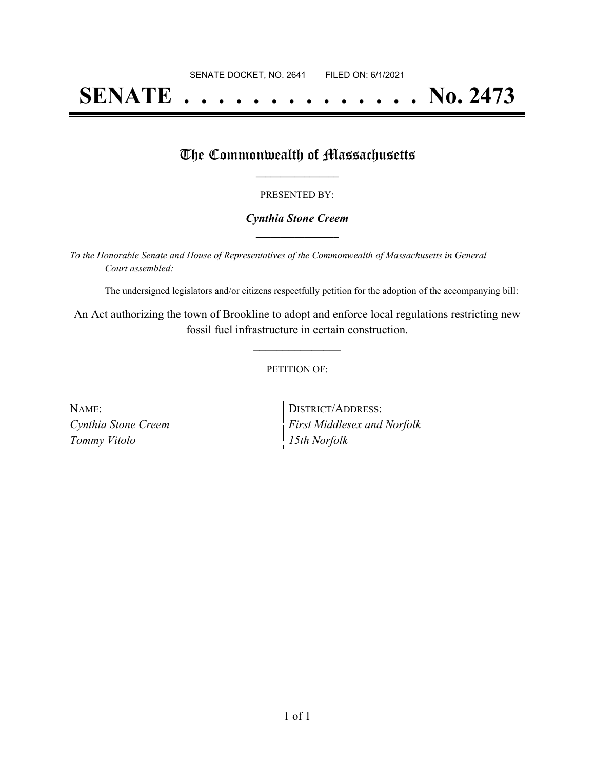# **SENATE . . . . . . . . . . . . . . No. 2473**

### The Commonwealth of Massachusetts

#### PRESENTED BY:

#### *Cynthia Stone Creem* **\_\_\_\_\_\_\_\_\_\_\_\_\_\_\_\_\_**

*To the Honorable Senate and House of Representatives of the Commonwealth of Massachusetts in General Court assembled:*

The undersigned legislators and/or citizens respectfully petition for the adoption of the accompanying bill:

An Act authorizing the town of Brookline to adopt and enforce local regulations restricting new fossil fuel infrastructure in certain construction.

**\_\_\_\_\_\_\_\_\_\_\_\_\_\_\_**

#### PETITION OF:

| NAME:               | DISTRICT/ADDRESS:                  |
|---------------------|------------------------------------|
| Cynthia Stone Creem | <b>First Middlesex and Norfolk</b> |
| Tommy Vitolo        | 15th Norfolk                       |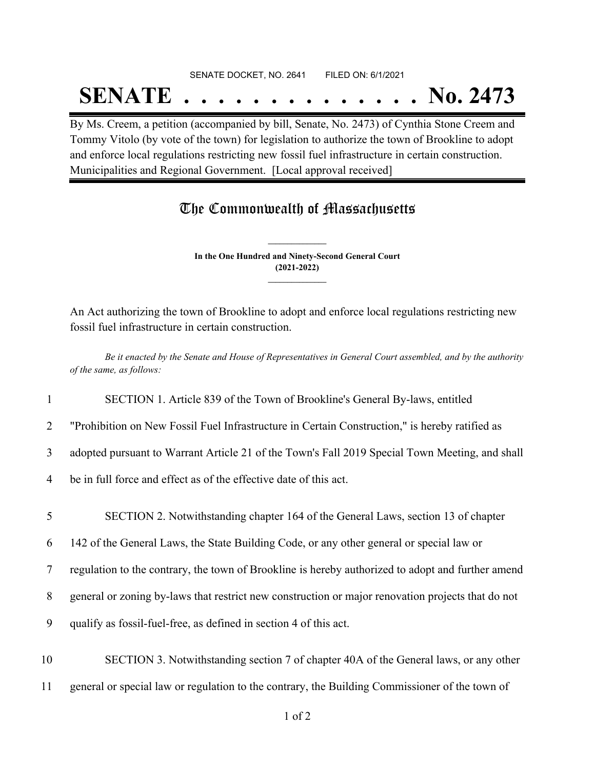## SENATE DOCKET, NO. 2641 FILED ON: 6/1/2021

# **SENATE . . . . . . . . . . . . . . No. 2473**

By Ms. Creem, a petition (accompanied by bill, Senate, No. 2473) of Cynthia Stone Creem and Tommy Vitolo (by vote of the town) for legislation to authorize the town of Brookline to adopt and enforce local regulations restricting new fossil fuel infrastructure in certain construction. Municipalities and Regional Government. [Local approval received]

### The Commonwealth of Massachusetts

**In the One Hundred and Ninety-Second General Court (2021-2022) \_\_\_\_\_\_\_\_\_\_\_\_\_\_\_**

**\_\_\_\_\_\_\_\_\_\_\_\_\_\_\_**

An Act authorizing the town of Brookline to adopt and enforce local regulations restricting new fossil fuel infrastructure in certain construction.

Be it enacted by the Senate and House of Representatives in General Court assembled, and by the authority *of the same, as follows:*

1 SECTION 1. Article 839 of the Town of Brookline's General By-laws, entitled

2 "Prohibition on New Fossil Fuel Infrastructure in Certain Construction," is hereby ratified as

3 adopted pursuant to Warrant Article 21 of the Town's Fall 2019 Special Town Meeting, and shall

4 be in full force and effect as of the effective date of this act.

 SECTION 2. Notwithstanding chapter 164 of the General Laws, section 13 of chapter 142 of the General Laws, the State Building Code, or any other general or special law or regulation to the contrary, the town of Brookline is hereby authorized to adopt and further amend general or zoning by-laws that restrict new construction or major renovation projects that do not qualify as fossil-fuel-free, as defined in section 4 of this act. SECTION 3. Notwithstanding section 7 of chapter 40A of the General laws, or any other

11 general or special law or regulation to the contrary, the Building Commissioner of the town of